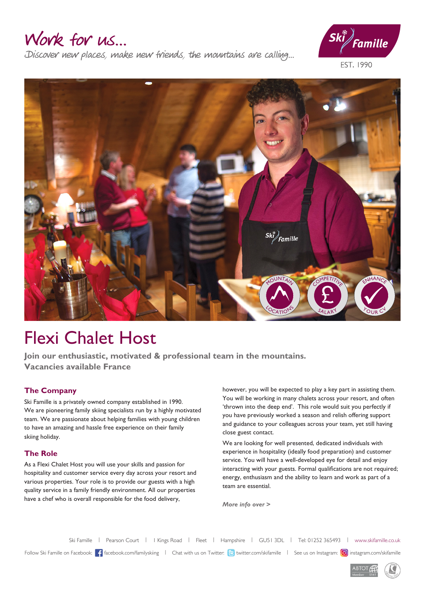### Work for us...

Discover new places, make new friends, the mountains are calling...



EST. 1990



# Flexi Chalet Host

**Join our enthusiastic, motivated & professional team in the mountains. Vacancies available France**

#### **The Company**

Ski Famille is a privately owned company established in 1990. We are pioneering family skiing specialists run by a highly motivated team. We are passionate about helping families with young children to have an amazing and hassle free experience on their family skiing holiday.

#### **The Role**

As a Flexi Chalet Host you will use your skills and passion for hospitality and customer service every day across your resort and various properties. Your role is to provide our guests with a high quality service in a family friendly environment. All our properties have a chef who is overall responsible for the food delivery,

however, you will be expected to play a key part in assisting them. You will be working in many chalets across your resort, and often 'thrown into the deep end'. This role would suit you perfectly if you have previously worked a season and relish offering support and guidance to your colleagues across your team, yet still having close guest contact.

We are looking for well presented, dedicated individuals with experience in hospitality (ideally food preparation) and customer service. You will have a well-developed eye for detail and enjoy interacting with your guests. Formal qualifications are not required; energy, enthusiasm and the ability to learn and work as part of a team are essential.

*More info over >*